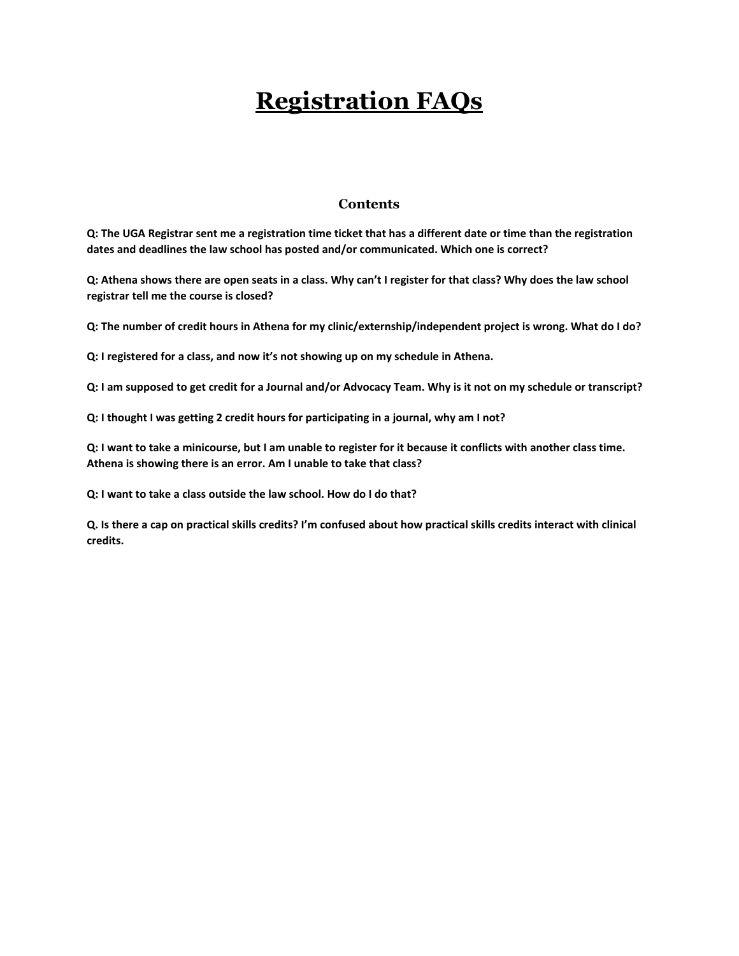# **Registration FAQs**

#### **Contents**

**[Q: The UGA Registrar sent me a registration time ticket that has a different date or time than the registration](#page-1-0)  [dates and deadlines the law school has posted and/or communicated. Which one is correct?](#page-1-0)**

**[Q: Athena shows there are open seats in a class. Why can't I register for that class? Why does the law school](#page-1-1)  [registrar tell me the course is closed?](#page-1-1)**

**[Q: The number of credit hours in Athena for my clinic/externship/independent project is wrong. What do I do?](#page-1-2)**

**[Q: I registered for a class, and now it's not showing up on my schedule in Athena.](#page-1-3)**

**[Q: I am supposed to get credit for a Journal and/or Advocacy Team. Why is it not on my schedule or transcript?](#page-2-0)**

**[Q: I thought I was getting 2 credit hours for participating in a journal, why am I not?](#page-2-1)**

**[Q: I want to take a minicourse, but I am unable to register for it because it conflicts with another class time.](#page-2-2)  [Athena is showing there is an error. Am I unable to take that class?](#page-2-2)**

**[Q: I want to take a class outside the law school. How do I do that?](#page-2-3)**

**[Q. Is there a cap on practical skills credits? I'm confused about how practical skills credits interact with clinical](#page-2-4)  [credits.](#page-2-4)**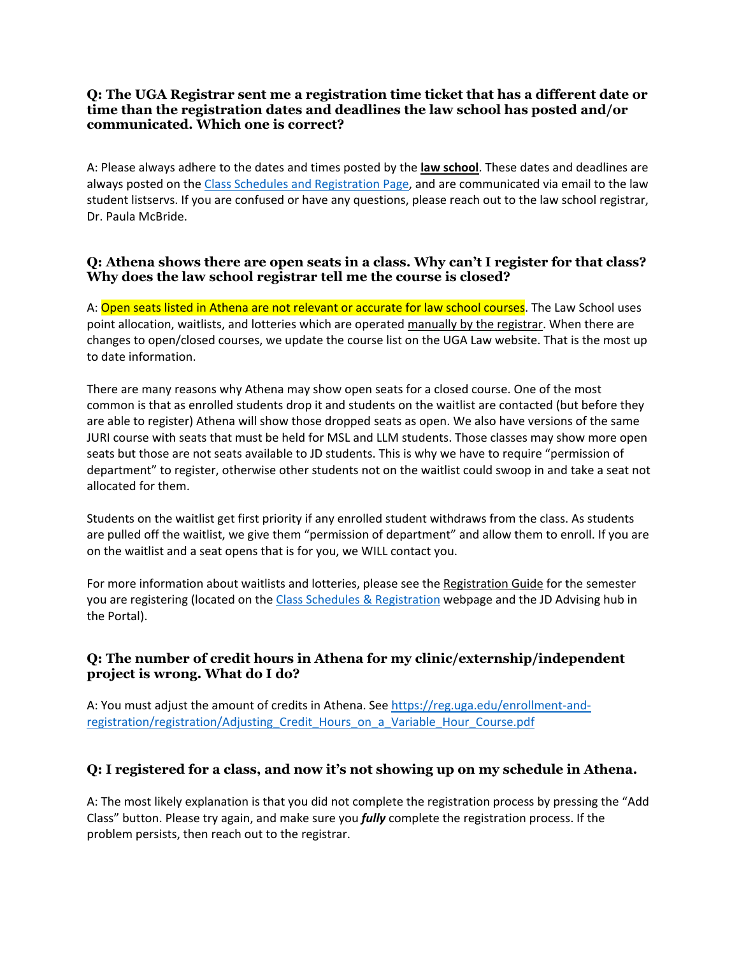#### <span id="page-1-0"></span>**Q: The UGA Registrar sent me a registration time ticket that has a different date or time than the registration dates and deadlines the law school has posted and/or communicated. Which one is correct?**

A: Please always adhere to the dates and times posted by the **law school**. These dates and deadlines are always posted on the [Class Schedules and Registration](http://www.law.uga.edu/class-schedules-registration) Page, and are communicated via email to the law student listservs. If you are confused or have any questions, please reach out to the law school registrar, Dr. Paula McBride.

#### <span id="page-1-1"></span>**Q: Athena shows there are open seats in a class. Why can't I register for that class? Why does the law school registrar tell me the course is closed?**

A: Open seats listed in Athena are not relevant or accurate for law school courses. The Law School uses point allocation, waitlists, and lotteries which are operated manually by the registrar. When there are changes to open/closed courses, we update the course list on the UGA Law website. That is the most up to date information.

There are many reasons why Athena may show open seats for a closed course. One of the most common is that as enrolled students drop it and students on the waitlist are contacted (but before they are able to register) Athena will show those dropped seats as open. We also have versions of the same JURI course with seats that must be held for MSL and LLM students. Those classes may show more open seats but those are not seats available to JD students. This is why we have to require "permission of department" to register, otherwise other students not on the waitlist could swoop in and take a seat not allocated for them.

Students on the waitlist get first priority if any enrolled student withdraws from the class. As students are pulled off the waitlist, we give them "permission of department" and allow them to enroll. If you are on the waitlist and a seat opens that is for you, we WILL contact you.

For more information about waitlists and lotteries, please see the Registration Guide for the semester you are registering (located on the [Class Schedules & Registration](http://www.law.uga.edu/class-schedules-registration) webpage and the JD Advising hub in the Portal).

### <span id="page-1-2"></span>**Q: The number of credit hours in Athena for my clinic/externship/independent project is wrong. What do I do?**

A: You must adjust the amount of credits in Athena. See [https://reg.uga.edu/enrollment-and](https://reg.uga.edu/enrollment-and-registration/registration/Adjusting_Credit_Hours_on_a_Variable_Hour_Course.pdf)registration/registration/Adjusting Credit Hours on a Variable Hour Course.pdf

# <span id="page-1-3"></span>**Q: I registered for a class, and now it's not showing up on my schedule in Athena.**

A: The most likely explanation is that you did not complete the registration process by pressing the "Add Class" button. Please try again, and make sure you *fully* complete the registration process. If the problem persists, then reach out to the registrar.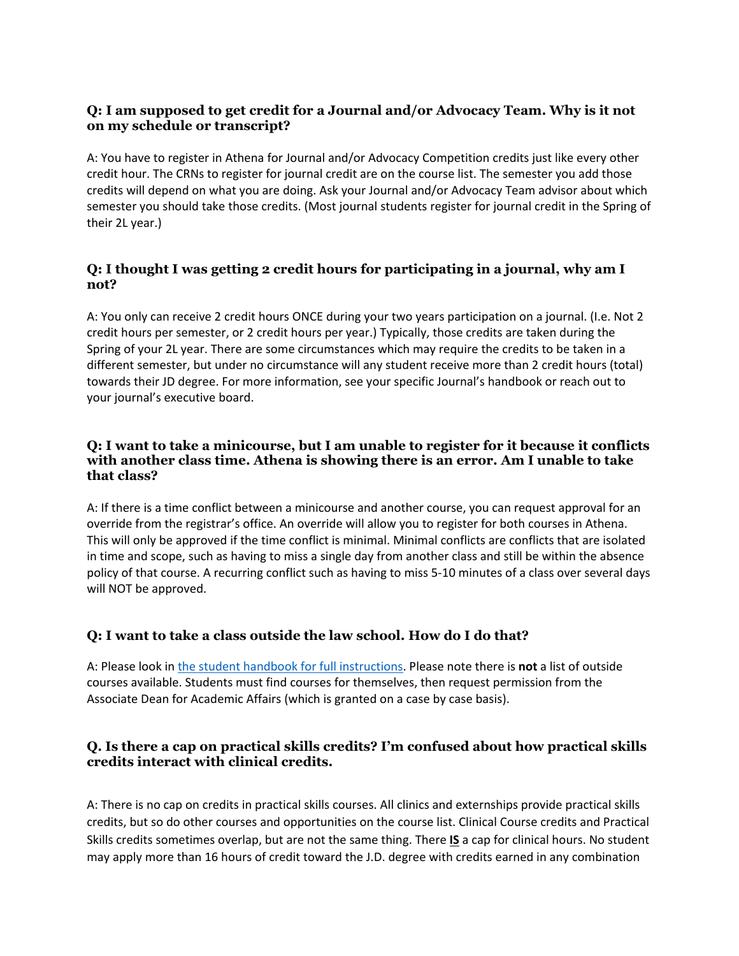### <span id="page-2-0"></span>**Q: I am supposed to get credit for a Journal and/or Advocacy Team. Why is it not on my schedule or transcript?**

A: You have to register in Athena for Journal and/or Advocacy Competition credits just like every other credit hour. The CRNs to register for journal credit are on the course list. The semester you add those credits will depend on what you are doing. Ask your Journal and/or Advocacy Team advisor about which semester you should take those credits. (Most journal students register for journal credit in the Spring of their 2L year.)

## <span id="page-2-1"></span>**Q: I thought I was getting 2 credit hours for participating in a journal, why am I not?**

A: You only can receive 2 credit hours ONCE during your two years participation on a journal. (I.e. Not 2 credit hours per semester, or 2 credit hours per year.) Typically, those credits are taken during the Spring of your 2L year. There are some circumstances which may require the credits to be taken in a different semester, but under no circumstance will any student receive more than 2 credit hours (total) towards their JD degree. For more information, see your specific Journal's handbook or reach out to your journal's executive board.

#### <span id="page-2-2"></span>**Q: I want to take a minicourse, but I am unable to register for it because it conflicts with another class time. Athena is showing there is an error. Am I unable to take that class?**

A: If there is a time conflict between a minicourse and another course, you can request approval for an override from the registrar's office. An override will allow you to register for both courses in Athena. This will only be approved if the time conflict is minimal. Minimal conflicts are conflicts that are isolated in time and scope, such as having to miss a single day from another class and still be within the absence policy of that course. A recurring conflict such as having to miss 5-10 minutes of a class over several days will NOT be approved.

# <span id="page-2-3"></span>**Q: I want to take a class outside the law school. How do I do that?**

A: Please look in [the student handbook for full instructions.](http://www.law.uga.edu/student-handbook-contents#courses-outside-the-law-school) Please note there is **not** a list of outside courses available. Students must find courses for themselves, then request permission from the Associate Dean for Academic Affairs (which is granted on a case by case basis).

### <span id="page-2-4"></span>**Q. Is there a cap on practical skills credits? I'm confused about how practical skills credits interact with clinical credits.**

A: There is no cap on credits in practical skills courses. All clinics and externships provide practical skills credits, but so do other courses and opportunities on the course list. Clinical Course credits and Practical Skills credits sometimes overlap, but are not the same thing. There **IS** a cap for clinical hours. No student may apply more than 16 hours of credit toward the J.D. degree with credits earned in any combination